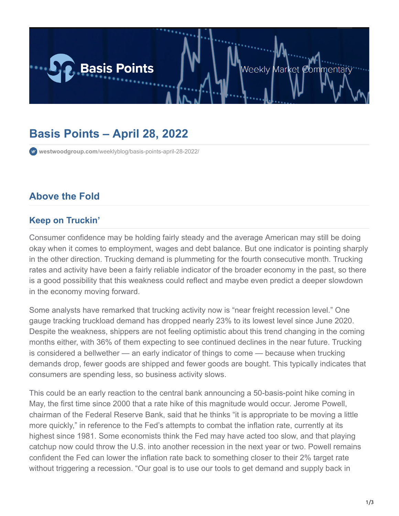

# **Basis Points – April 28, 2022**

**westwoodgroup.com**[/weeklyblog/basis-points-april-28-2022/](https://westwoodgroup.com/weeklyblog/basis-points-april-28-2022/)

### **Above the Fold**

#### **Keep on Truckin'**

Consumer confidence may be holding fairly steady and the average American may still be doing okay when it comes to employment, wages and debt balance. But one indicator is pointing sharply in the other direction. Trucking demand is plummeting for the fourth consecutive month. Trucking rates and activity have been a fairly reliable indicator of the broader economy in the past, so there is a good possibility that this weakness could reflect and maybe even predict a deeper slowdown in the economy moving forward.

Some analysts have remarked that trucking activity now is "near freight recession level." One gauge tracking truckload demand has dropped nearly 23% to its lowest level since June 2020. Despite the weakness, shippers are not feeling optimistic about this trend changing in the coming months either, with 36% of them expecting to see continued declines in the near future. Trucking is considered a bellwether — an early indicator of things to come — because when trucking demands drop, fewer goods are shipped and fewer goods are bought. This typically indicates that consumers are spending less, so business activity slows.

This could be an early reaction to the central bank announcing a 50-basis-point hike coming in May, the first time since 2000 that a rate hike of this magnitude would occur. Jerome Powell, chairman of the Federal Reserve Bank, said that he thinks "it is appropriate to be moving a little more quickly," in reference to the Fed's attempts to combat the inflation rate, currently at its highest since 1981. Some economists think the Fed may have acted too slow, and that playing catchup now could throw the U.S. into another recession in the next year or two. Powell remains confident the Fed can lower the inflation rate back to something closer to their 2% target rate without triggering a recession. "Our goal is to use our tools to get demand and supply back in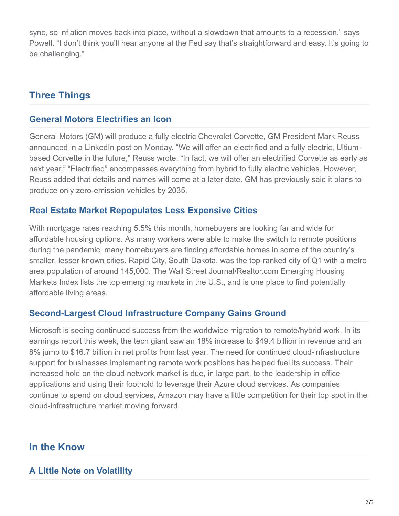sync, so inflation moves back into place, without a slowdown that amounts to a recession," says Powell. "I don't think you'll hear anyone at the Fed say that's straightforward and easy. It's going to be challenging."

## **Three Things**

#### **General Motors Electrifies an Icon**

General Motors (GM) will produce a fully electric Chevrolet Corvette, GM President Mark Reuss announced in a LinkedIn post on Monday. "We will offer an electrified and a fully electric, Ultiumbased Corvette in the future," Reuss wrote. "In fact, we will offer an electrified Corvette as early as next year." "Electrified" encompasses everything from hybrid to fully electric vehicles. However, Reuss added that details and names will come at a later date. GM has previously said it plans to produce only zero-emission vehicles by 2035.

#### **Real Estate Market Repopulates Less Expensive Cities**

With mortgage rates reaching 5.5% this month, homebuyers are looking far and wide for affordable housing options. As many workers were able to make the switch to remote positions during the pandemic, many homebuyers are finding affordable homes in some of the country's smaller, lesser-known cities. Rapid City, South Dakota, was the top-ranked city of Q1 with a metro area population of around 145,000. The Wall Street Journal/Realtor.com Emerging Housing Markets Index lists the top emerging markets in the U.S., and is one place to find potentially affordable living areas.

#### **Second-Largest Cloud Infrastructure Company Gains Ground**

Microsoft is seeing continued success from the worldwide migration to remote/hybrid work. In its earnings report this week, the tech giant saw an 18% increase to \$49.4 billion in revenue and an 8% jump to \$16.7 billion in net profits from last year. The need for continued cloud-infrastructure support for businesses implementing remote work positions has helped fuel its success. Their increased hold on the cloud network market is due, in large part, to the leadership in office applications and using their foothold to leverage their Azure cloud services. As companies continue to spend on cloud services, Amazon may have a little competition for their top spot in the cloud-infrastructure market moving forward.

### **In the Know**

#### **A Little Note on Volatility**